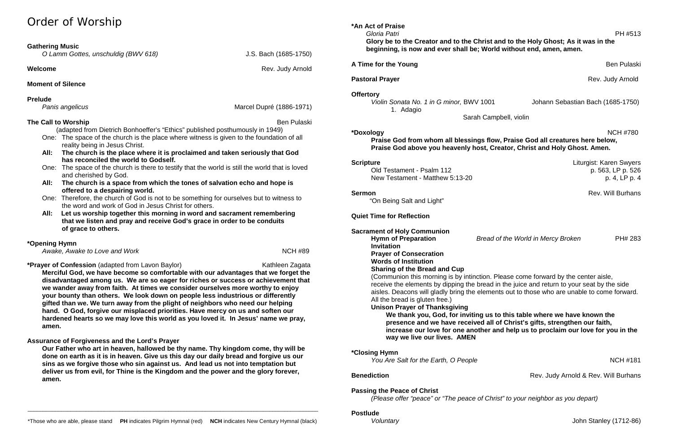# Order of Worship

### **Gathering Music**

| O Lamm Gottes, unschuldig (BWV 618) |  |  |
|-------------------------------------|--|--|
|-------------------------------------|--|--|

**Welcome Rev. Judy Arnold Rev. Judy Arnold** 

*O Lamm Gottes, unschuldig (BWV 618)* J.S. Bach (1685-1750)

*Panis angelicus* **Marcel Dupré (1886-1971)** 

### **Moment of Silence**

### **Prelude**

### **The Call to Worship** Ben Pulaski **Ben Pulaski** Ben Pulaski Ben Pulaski Ben Pulaski

(adapted from Dietrich Bonhoeffer's "Ethics" published posthumously in 1949)

- One: The space of the church is the place where witness is given to the foundation of all reality being in Jesus Christ.
- **All: The church is the place where it is proclaimed and taken seriously that God has reconciled the world to Godself.**
- One: The space of the church is there to testify that the world is still the world that is loved and cherished by God.
- **All: The church is a space from which the tones of salvation echo and hope is offered to a despairing world.**
- One: Therefore, the church of God is not to be something for ourselves but to witness to the word and work of God in Jesus Christ for others.
- **All: Let us worship together this morning in word and sacrament remembering that we listen and pray and receive God's grace in order to be conduits of grace to others.**

# **\*Opening Hymn**

Awake, Awake to Love and Work **NCH #89** 

**\*Prayer of Confession** (adapted from Lavon Baylor) Manusculphian Mathleen Zagata

**Merciful God, we have become so comfortable with our advantages that we forget the disadvantaged among us. We are so eager for riches or success or achievement that we wander away from faith. At times we consider ourselves more worthy to enjoy your bounty than others. We look down on people less industrious or differently gifted than we. We turn away from the plight of neighbors who need our helping hand. O God, forgive our misplaced priorities. Have mercy on us and soften our hardened hearts so we may love this world as you loved it. In Jesus' name we pray, amen.**

# **Assurance of Forgiveness and the Lord's Prayer**

**Our Father who art in heaven, hallowed be thy name. Thy kingdom come, thy will be done on earth as it is in heaven. Give us this day our daily bread and forgive us our sins as we forgive those who sin against us. And lead us not into temptation but deliver us from evil, for Thine is the Kingdom and the power and the glory forever, amen.**

**\*An Act of Praise**  *Gloria Patri* PH #513

**Glory be to the Creator and to the Christ and to the Holy Ghost; As it was in the beginning, is now and ever shall be; World without end, amen, amen.**

**A Time for the Young Ben Pullet A Time for the Young Ben Pullet A Time for the Young Ben Pullet A Time for the Young Ben Pullet A Time for the Young Ben Pullet A Time for the Volume of the A Time of the A Time of the A Ti** 

**Offertory**

*Violin Sonata No. 1 in G minor,* BWV 1001 Johann Sebastian Bach (1685-1750) 1. Adagio

Sarah Campbell, violin

**\*Doxology** NCH #780

**Scripture** Liturgist: Karen Swyers

**Sermon** Rev. Will Burhans

**Praise God from whom all blessings flow, Praise God all creatures here below, Praise God above you heavenly host, Creator, Christ and Holy Ghost. Amen.**

Old Testament - Psalm 112 p. 563, LP p. 526 New Testament - Matthew 5:13-20 p. 4, LP p. 4

"On Being Salt and Light"

# **Quiet Time for Reflection**

# **Sacrament of Holy Communion**

**Hymn of Preparation** *Bread of the World in Mercy Broken* PH# 283 **Invitation Prayer of Consecration Words of Institution Sharing of the Bread and Cup**

(Communion this morning is by intinction. Please come forward by the center aisle, receive the elements by dipping the bread in the juice and return to your seat by the side aisles. Deacons will gladly bring the elements out to those who are unable to come forward.

**Benediction Benediction Rev. Judy Arnold & Rev. Will Burhans** 

All the bread is gluten free.)

**Unison Prayer of Thanksgiving We thank you, God, for inviting us to this table where we have known the presence and we have received all of Christ's gifts, strengthen our faith, increase our love for one another and help us to proclaim our love for you in the way we live our lives. AMEN**

**\*Closing Hymn** 

*You Are Salt for the Earth, O People* NCH #181

# **Passing the Peace of Christ**

*(Please offer "peace" or "The peace of Christ" to your neighbor as you depart)*

*Voluntary* John Stanley (1712-86)

\_\_\_\_\_\_\_\_\_\_\_\_\_\_\_\_\_\_\_\_\_\_\_\_\_\_\_\_\_\_\_\_\_\_\_\_\_\_\_\_\_\_\_\_\_\_\_\_\_\_\_\_\_\_\_\_\_\_\_\_\_\_\_\_\_\_\_\_\_\_\_\_\_\_\_\_\_\_\_\_\_\_\_\_\_\_\_\_\_\_\_\_\_\_\_

**Pastoral Prayer** Rev. Judy Arnold **Prayer** Rev. Judy Arnold **Rev.** Judy Arnold **Rev.** Judy Arnold **Rev.** 3.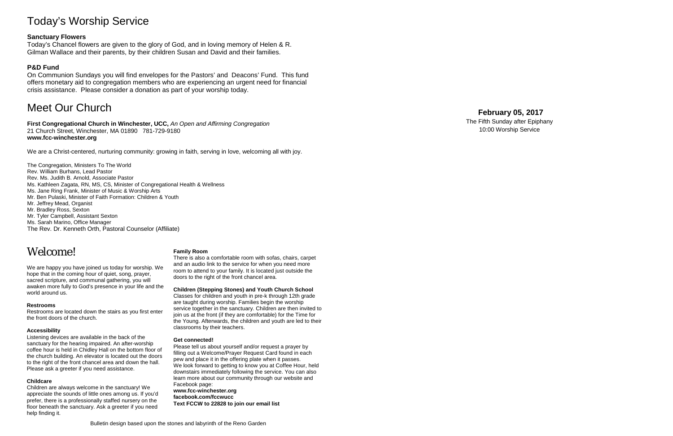# Today's Worship Service

### **Sanctuary Flowers**

Today's Chancel flowers are given to the glory of God, and in loving memory of Helen & R. Gilman Wallace and their parents, by their children Susan and David and their families.

### **P&D Fund**

On Communion Sundays you will find envelopes for the Pastors' and Deacons' Fund. This fund offers monetary aid to congregation members who are experiencing an urgent need for financial crisis assistance. Please consider a donation as part of your worship today.

# Meet Our Church

**First Congregational Church in Winchester, UCC,** *An Open and Affirming Congregation* 21 Church Street, Winchester, MA 01890 781 -729 -9180 **www.fcc -winchester.org**

We are a Christ -centered, nurturing community: growing in faith, serving in love, welcoming all with joy.

The Congregation, Ministers To The World Rev. William Burhans, Lead Pastor Rev. Ms. Judith B. Arnold, Associate Pastor Ms. Kathleen Zagata, RN, MS, CS, Minister of Congregational Health & Wellness Ms. Jane Ring Frank, Minister of Music & Worship Arts Mr. Ben Pulaski, Minister of Faith Formation: Children & Youth Mr. Jeffrey Mead, Organist Mr. Bradley Ross, Sexton Mr. Tyler Campbell, Assistant Sexton Ms. Sarah Marino, Office Manager The Rev. Dr. Kenneth Orth, Pastoral Counselor (Affiliate)

# Welcome!

We are happy you have joined us today for worship. We hope that in the coming hour of quiet, song, prayer, sacred scripture, and communal gathering, you will awaken more fully to God's presence in your life and the world around us.

#### **Restrooms**

Restrooms are located down the stairs as you first enter the front doors of the church.

#### **Accessibility**

Listening devices are available in the back of the sanctuary for the hearing impaired. An after -worship coffee hour is held in Chidley Hall on the bottom floor of the church building. An elevator is located out the doors to the right of the front chancel area and down the hall. Please ask a greeter if you need assistance.

#### **Childcare**

Children are always welcome in the sanctuary! We appreciate the sounds of little ones among us. If you'd prefer, there is a professionally staffed nursery on the floor beneath the sanctuary. Ask a greeter if you need help finding it.

#### **Family Room**

There is also a comfortable room with sofas, chairs, carpet and an audio link to the service for when you need more room to attend to your family. It is located just outside the doors to the right of the front chancel area.

#### **Children (Stepping Stones) and Youth Church School**

Classes for children and youth in pre -k through 12th grade are taught during worship. Families begin the worship service together in the sanctuary. Children are then invited to join us at the front (if they are comfortable) for the Time for the Young. Afterwards, the children and youth are led to their classrooms by their teachers.

#### **Get connected!**

Please tell us about yourself and/or request a prayer by filling out a Welcome/Prayer Request Card found in each pew and place it in the offering plate when it passes. We look forward to getting to know you at Coffee Hour, held downstairs immediately following the service. You can also learn more about our community through our website and Facebook page: **www.fcc -winchester.org**

# **facebook.com/fccwucc**

**Text FCCW to 22828 to join our email list**

# **February 05 , 2017**

The Fifth Sunday after Epiphany 10:00 Worship Service